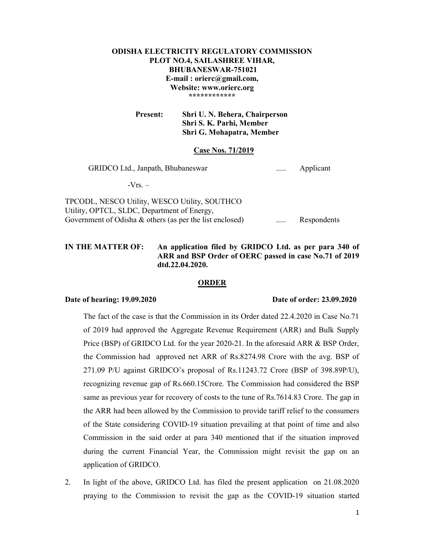# ODISHA ELECTRICITY REGULATORY COMMISSION PLOT NO.4, SAILASHREE VIHAR, BHUBANESWAR-751021 E-mail : orierc@gmail.com, Website: www.orierc.org \*\*\*\*\*\*\*\*\*\*\*\*

 Present: Shri U. N. Behera, Chairperson Shri S. K. Parhi, Member Shri G. Mohapatra, Member

#### Case Nos. 71/2019

GRIDCO Ltd., Janpath, Bhubaneswar ..... Applicant

 $-Vrs =$ 

TPCODL, NESCO Utility, WESCO Utility, SOUTHCO Utility, OPTCL, SLDC, Department of Energy, Government of Odisha & others (as per the list enclosed) ...... Respondents

# IN THE MATTER OF: An application filed by GRIDCO Ltd. as per para 340 of ARR and BSP Order of OERC passed in case No.71 of 2019 dtd.22.04.2020.

## ORDER

## Date of hearing: 19.09.2020 Date of order: 23.09.2020

The fact of the case is that the Commission in its Order dated 22.4.2020 in Case No.71 of 2019 had approved the Aggregate Revenue Requirement (ARR) and Bulk Supply Price (BSP) of GRIDCO Ltd. for the year 2020-21. In the aforesaid ARR & BSP Order, the Commission had approved net ARR of Rs.8274.98 Crore with the avg. BSP of 271.09 P/U against GRIDCO's proposal of Rs.11243.72 Crore (BSP of 398.89P/U), recognizing revenue gap of Rs.660.15Crore. The Commission had considered the BSP same as previous year for recovery of costs to the tune of Rs.7614.83 Crore. The gap in the ARR had been allowed by the Commission to provide tariff relief to the consumers of the State considering COVID-19 situation prevailing at that point of time and also Commission in the said order at para 340 mentioned that if the situation improved during the current Financial Year, the Commission might revisit the gap on an application of GRIDCO.

2. In light of the above, GRIDCO Ltd. has filed the present application on 21.08.2020 praying to the Commission to revisit the gap as the COVID-19 situation started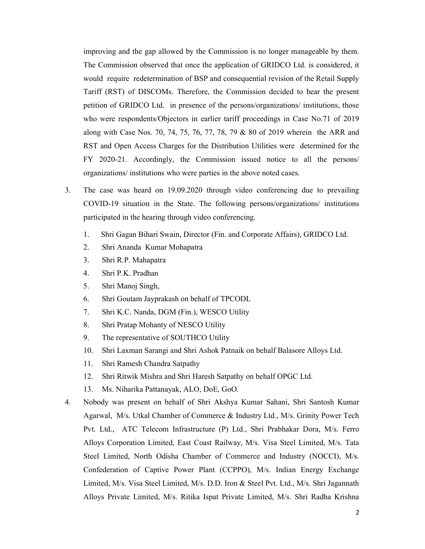improving and the gap allowed by the Commission is no longer manageable by them. The Commission observed that once the application of GRIDCO Ltd. is considered, it would require redetermination of BSP and consequential revision of the Retail Supply Tariff (RST) of DISCOMs. Therefore, the Commission decided to hear the present petition of GRIDCO Ltd. in presence of the persons/organizations/ institutions, those who were respondents/Objectors in earlier tariff proceedings in Case No.71 of 2019 along with Case Nos. 70, 74, 75, 76, 77, 78, 79 & 80 of 2019 wherein the ARR and RST and Open Access Charges for the Distribution Utilities were determined for the FY 2020-21. Accordingly, the Commission issued notice to all the persons/ organizations/ institutions who were parties in the above noted cases.

- 3. The case was heard on 19.09.2020 through video conferencing due to prevailing COVID-19 situation in the State. The following persons/organizations/ institutions participated in the hearing through video conferencing.
	- 1. Shri Gagan Bihari Swain, Director (Fin. and Corporate Affairs), GRIDCO Ltd.
	- 2. Shri Ananda Kumar Mohapatra
	- 3. Shri R.P. Mahapatra
	- 4. Shri P.K. Pradhan
	- 5. Shri Manoj Singh,
	- 6. Shri Goutam Jayprakash on behalf of TPCODL
	- 7. Shri K.C. Nanda, DGM (Fin.), WESCO Utility
	- 8. Shri Pratap Mohanty of NESCO Utility
	- 9. The representative of SOUTHCO Utility
	- 10. Shri Laxman Sarangi and Shri Ashok Patnaik on behalf Balasore Alloys Ltd.
	- 11. Shri Ramesh Chandra Satpathy
	- 12. Shri Ritwik Mishra and Shri Haresh Satpathy on behalf OPGC Ltd.
	- 13. Ms. Niharika Pattanayak, ALO, DoE, GoO.
- 4. Nobody was present on behalf of Shri Akshya Kumar Sahani, Shri Santosh Kumar Agarwal, M/s. Utkal Chamber of Commerce & Industry Ltd., M/s. Grinity Power Tech Pvt. Ltd., ATC Telecom Infrastructure (P) Ltd., Shri Prabhakar Dora, M/s. Ferro Alloys Corporation Limited, East Coast Railway, M/s. Visa Steel Limited, M/s. Tata Steel Limited, North Odisha Chamber of Commerce and Industry (NOCCI), M/s. Confederation of Captive Power Plant (CCPPO), M/s. Indian Energy Exchange Limited, M/s. Visa Steel Limited, M/s. D.D. Iron & Steel Pvt. Ltd., M/s. Shri Jagannath Alloys Private Limited, M/s. Ritika Ispat Private Limited, M/s. Shri Radha Krishna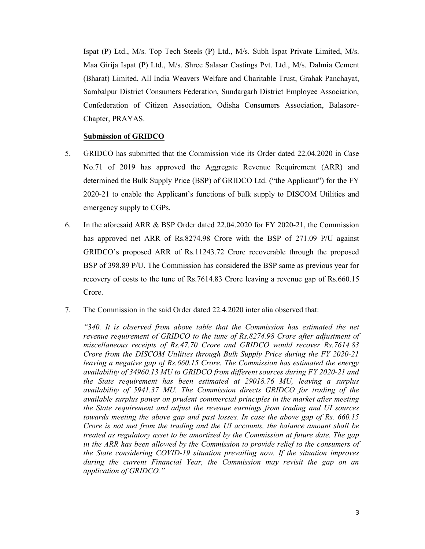Ispat (P) Ltd., M/s. Top Tech Steels (P) Ltd., M/s. Subh Ispat Private Limited, M/s. Maa Girija Ispat (P) Ltd., M/s. Shree Salasar Castings Pvt. Ltd., M/s. Dalmia Cement (Bharat) Limited, All India Weavers Welfare and Charitable Trust, Grahak Panchayat, Sambalpur District Consumers Federation, Sundargarh District Employee Association, Confederation of Citizen Association, Odisha Consumers Association, Balasore-Chapter, PRAYAS.

## Submission of GRIDCO

- 5. GRIDCO has submitted that the Commission vide its Order dated 22.04.2020 in Case No.71 of 2019 has approved the Aggregate Revenue Requirement (ARR) and determined the Bulk Supply Price (BSP) of GRIDCO Ltd. ("the Applicant") for the FY 2020-21 to enable the Applicant's functions of bulk supply to DISCOM Utilities and emergency supply to CGPs.
- 6. In the aforesaid ARR & BSP Order dated 22.04.2020 for FY 2020-21, the Commission has approved net ARR of Rs.8274.98 Crore with the BSP of 271.09 P/U against GRIDCO's proposed ARR of Rs.11243.72 Crore recoverable through the proposed BSP of 398.89 P/U. The Commission has considered the BSP same as previous year for recovery of costs to the tune of Rs.7614.83 Crore leaving a revenue gap of Rs.660.15 Crore.
- 7. The Commission in the said Order dated 22.4.2020 inter alia observed that:

"340. It is observed from above table that the Commission has estimated the net revenue requirement of GRIDCO to the tune of Rs.8274.98 Crore after adjustment of miscellaneous receipts of Rs.47.70 Crore and GRIDCO would recover Rs.7614.83 Crore from the DISCOM Utilities through Bulk Supply Price during the FY 2020-21 leaving a negative gap of Rs.660.15 Crore. The Commission has estimated the energy availability of 34960.13 MU to GRIDCO from different sources during FY 2020-21 and the State requirement has been estimated at 29018.76 MU, leaving a surplus availability of 5941.37 MU. The Commission directs GRIDCO for trading of the available surplus power on prudent commercial principles in the market after meeting the State requirement and adjust the revenue earnings from trading and UI sources towards meeting the above gap and past losses. In case the above gap of Rs. 660.15 Crore is not met from the trading and the UI accounts, the balance amount shall be treated as regulatory asset to be amortized by the Commission at future date. The gap in the ARR has been allowed by the Commission to provide relief to the consumers of the State considering COVID-19 situation prevailing now. If the situation improves during the current Financial Year, the Commission may revisit the gap on an application of GRIDCO."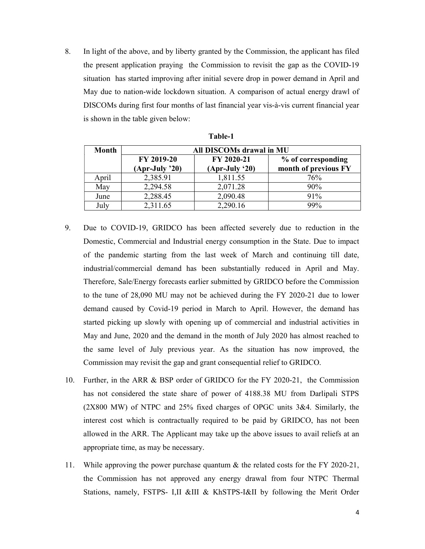8. In light of the above, and by liberty granted by the Commission, the applicant has filed the present application praying the Commission to revisit the gap as the COVID-19 situation has started improving after initial severe drop in power demand in April and May due to nation-wide lockdown situation. A comparison of actual energy drawl of DISCOMs during first four months of last financial year vis-à-vis current financial year is shown in the table given below:

| Month | All DISCOMs drawal in MU       |                                |                                            |  |
|-------|--------------------------------|--------------------------------|--------------------------------------------|--|
|       | FY 2019-20<br>$(Apr-July '20)$ | FY 2020-21<br>$(Apr-July '20)$ | % of corresponding<br>month of previous FY |  |
| April | 2,385.91                       | 1,811.55                       | 76%                                        |  |
| May   | 2,294.58                       | 2,071.28                       | 90%                                        |  |
| June  | 2,288.45                       | 2,090.48                       | 91%                                        |  |
| July  | 2,311.65                       | 2,290.16                       | 99%                                        |  |

| anıe- |  |  |  |  |
|-------|--|--|--|--|
|-------|--|--|--|--|

- 9. Due to COVID-19, GRIDCO has been affected severely due to reduction in the Domestic, Commercial and Industrial energy consumption in the State. Due to impact of the pandemic starting from the last week of March and continuing till date, industrial/commercial demand has been substantially reduced in April and May. Therefore, Sale/Energy forecasts earlier submitted by GRIDCO before the Commission to the tune of 28,090 MU may not be achieved during the FY 2020-21 due to lower demand caused by Covid-19 period in March to April. However, the demand has started picking up slowly with opening up of commercial and industrial activities in May and June, 2020 and the demand in the month of July 2020 has almost reached to the same level of July previous year. As the situation has now improved, the Commission may revisit the gap and grant consequential relief to GRIDCO.
- 10. Further, in the ARR & BSP order of GRIDCO for the FY 2020-21, the Commission has not considered the state share of power of 4188.38 MU from Darlipali STPS (2X800 MW) of NTPC and 25% fixed charges of OPGC units 3&4. Similarly, the interest cost which is contractually required to be paid by GRIDCO, has not been allowed in the ARR. The Applicant may take up the above issues to avail reliefs at an appropriate time, as may be necessary.
- 11. While approving the power purchase quantum & the related costs for the FY 2020-21, the Commission has not approved any energy drawal from four NTPC Thermal Stations, namely, FSTPS- I,II &III & KhSTPS-I&II by following the Merit Order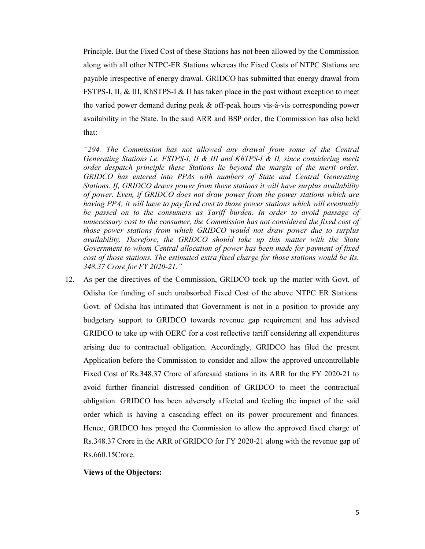Principle. But the Fixed Cost of these Stations has not been allowed by the Commission along with all other NTPC-ER Stations whereas the Fixed Costs of NTPC Stations are payable irrespective of energy drawal. GRIDCO has submitted that energy drawal from FSTPS-I, II, & III, KhSTPS-I & II has taken place in the past without exception to meet the varied power demand during peak & off-peak hours vis-à-vis corresponding power availability in the State. In the said ARR and BSP order, the Commission has also held that:

"294. The Commission has not allowed any drawal from some of the Central Generating Stations i.e. FSTPS-I,  $II \& III$  and KhTPS-I  $\& II$ , since considering merit order despatch principle these Stations lie beyond the margin of the merit order. GRIDCO has entered into PPAs with numbers of State and Central Generating Stations. If, GRIDCO draws power from those stations it will have surplus availability of power. Even, if GRIDCO does not draw power from the power stations which are having PPA, it will have to pay fixed cost to those power stations which will eventually be passed on to the consumers as Tariff burden. In order to avoid passage of unnecessary cost to the consumer, the Commission has not considered the fixed cost of those power stations from which GRIDCO would not draw power due to surplus availability. Therefore, the GRIDCO should take up this matter with the State Government to whom Central allocation of power has been made for payment of fixed cost of those stations. The estimated extra fixed charge for those stations would be Rs. 348.37 Crore for FY 2020-21."

12. As per the directives of the Commission, GRIDCO took up the matter with Govt. of Odisha for funding of such unabsorbed Fixed Cost of the above NTPC ER Stations. Govt. of Odisha has intimated that Government is not in a position to provide any budgetary support to GRIDCO towards revenue gap requirement and has advised GRIDCO to take up with OERC for a cost reflective tariff considering all expenditures arising due to contractual obligation. Accordingly, GRIDCO has filed the present Application before the Commission to consider and allow the approved uncontrollable Fixed Cost of Rs.348.37 Crore of aforesaid stations in its ARR for the FY 2020-21 to avoid further financial distressed condition of GRIDCO to meet the contractual obligation. GRIDCO has been adversely affected and feeling the impact of the said order which is having a cascading effect on its power procurement and finances. Hence, GRIDCO has prayed the Commission to allow the approved fixed charge of Rs.348.37 Crore in the ARR of GRIDCO for FY 2020-21 along with the revenue gap of Rs.660.15Crore.

# Views of the Objectors: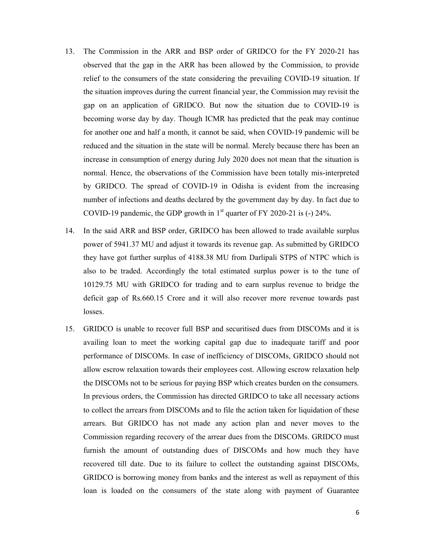- 13. The Commission in the ARR and BSP order of GRIDCO for the FY 2020-21 has observed that the gap in the ARR has been allowed by the Commission, to provide relief to the consumers of the state considering the prevailing COVID-19 situation. If the situation improves during the current financial year, the Commission may revisit the gap on an application of GRIDCO. But now the situation due to COVID-19 is becoming worse day by day. Though ICMR has predicted that the peak may continue for another one and half a month, it cannot be said, when COVID-19 pandemic will be reduced and the situation in the state will be normal. Merely because there has been an increase in consumption of energy during July 2020 does not mean that the situation is normal. Hence, the observations of the Commission have been totally mis-interpreted by GRIDCO. The spread of COVID-19 in Odisha is evident from the increasing number of infections and deaths declared by the government day by day. In fact due to COVID-19 pandemic, the GDP growth in  $1<sup>st</sup>$  quarter of FY 2020-21 is (-) 24%.
- 14. In the said ARR and BSP order, GRIDCO has been allowed to trade available surplus power of 5941.37 MU and adjust it towards its revenue gap. As submitted by GRIDCO they have got further surplus of 4188.38 MU from Darlipali STPS of NTPC which is also to be traded. Accordingly the total estimated surplus power is to the tune of 10129.75 MU with GRIDCO for trading and to earn surplus revenue to bridge the deficit gap of Rs.660.15 Crore and it will also recover more revenue towards past losses.
- 15. GRIDCO is unable to recover full BSP and securitised dues from DISCOMs and it is availing loan to meet the working capital gap due to inadequate tariff and poor performance of DISCOMs. In case of inefficiency of DISCOMs, GRIDCO should not allow escrow relaxation towards their employees cost. Allowing escrow relaxation help the DISCOMs not to be serious for paying BSP which creates burden on the consumers. In previous orders, the Commission has directed GRIDCO to take all necessary actions to collect the arrears from DISCOMs and to file the action taken for liquidation of these arrears. But GRIDCO has not made any action plan and never moves to the Commission regarding recovery of the arrear dues from the DISCOMs. GRIDCO must furnish the amount of outstanding dues of DISCOMs and how much they have recovered till date. Due to its failure to collect the outstanding against DISCOMs, GRIDCO is borrowing money from banks and the interest as well as repayment of this loan is loaded on the consumers of the state along with payment of Guarantee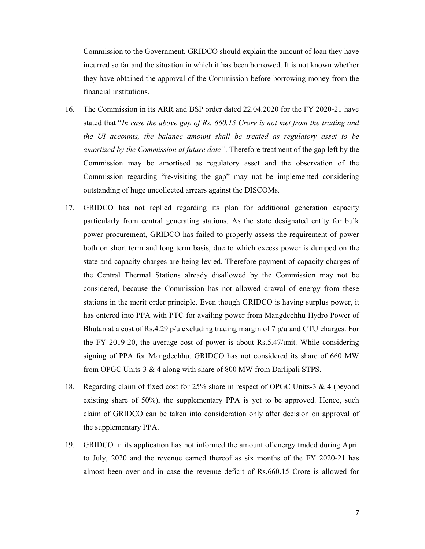Commission to the Government. GRIDCO should explain the amount of loan they have incurred so far and the situation in which it has been borrowed. It is not known whether they have obtained the approval of the Commission before borrowing money from the financial institutions.

- 16. The Commission in its ARR and BSP order dated 22.04.2020 for the FY 2020-21 have stated that "In case the above gap of Rs. 660.15 Crore is not met from the trading and the UI accounts, the balance amount shall be treated as regulatory asset to be amortized by the Commission at future date". Therefore treatment of the gap left by the Commission may be amortised as regulatory asset and the observation of the Commission regarding "re-visiting the gap" may not be implemented considering outstanding of huge uncollected arrears against the DISCOMs.
- 17. GRIDCO has not replied regarding its plan for additional generation capacity particularly from central generating stations. As the state designated entity for bulk power procurement, GRIDCO has failed to properly assess the requirement of power both on short term and long term basis, due to which excess power is dumped on the state and capacity charges are being levied. Therefore payment of capacity charges of the Central Thermal Stations already disallowed by the Commission may not be considered, because the Commission has not allowed drawal of energy from these stations in the merit order principle. Even though GRIDCO is having surplus power, it has entered into PPA with PTC for availing power from Mangdechhu Hydro Power of Bhutan at a cost of Rs.4.29  $p/u$  excluding trading margin of 7  $p/u$  and CTU charges. For the FY 2019-20, the average cost of power is about Rs.5.47/unit. While considering signing of PPA for Mangdechhu, GRIDCO has not considered its share of 660 MW from OPGC Units-3 & 4 along with share of 800 MW from Darlipali STPS.
- 18. Regarding claim of fixed cost for 25% share in respect of OPGC Units-3 & 4 (beyond existing share of 50%), the supplementary PPA is yet to be approved. Hence, such claim of GRIDCO can be taken into consideration only after decision on approval of the supplementary PPA.
- 19. GRIDCO in its application has not informed the amount of energy traded during April to July, 2020 and the revenue earned thereof as six months of the FY 2020-21 has almost been over and in case the revenue deficit of Rs.660.15 Crore is allowed for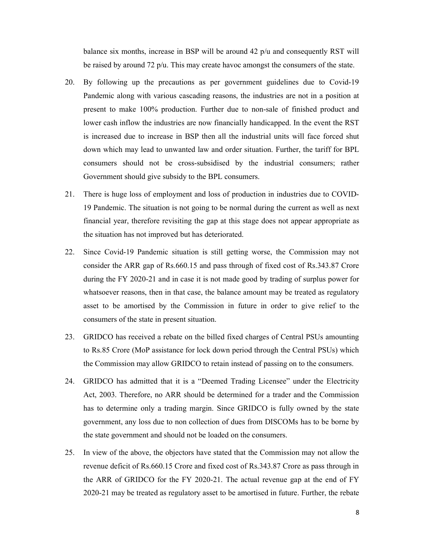balance six months, increase in BSP will be around  $42$  p/u and consequently RST will be raised by around 72 p/u. This may create havoc amongst the consumers of the state.

- 20. By following up the precautions as per government guidelines due to Covid-19 Pandemic along with various cascading reasons, the industries are not in a position at present to make 100% production. Further due to non-sale of finished product and lower cash inflow the industries are now financially handicapped. In the event the RST is increased due to increase in BSP then all the industrial units will face forced shut down which may lead to unwanted law and order situation. Further, the tariff for BPL consumers should not be cross-subsidised by the industrial consumers; rather Government should give subsidy to the BPL consumers.
- 21. There is huge loss of employment and loss of production in industries due to COVID-19 Pandemic. The situation is not going to be normal during the current as well as next financial year, therefore revisiting the gap at this stage does not appear appropriate as the situation has not improved but has deteriorated.
- 22. Since Covid-19 Pandemic situation is still getting worse, the Commission may not consider the ARR gap of Rs.660.15 and pass through of fixed cost of Rs.343.87 Crore during the FY 2020-21 and in case it is not made good by trading of surplus power for whatsoever reasons, then in that case, the balance amount may be treated as regulatory asset to be amortised by the Commission in future in order to give relief to the consumers of the state in present situation.
- 23. GRIDCO has received a rebate on the billed fixed charges of Central PSUs amounting to Rs.85 Crore (MoP assistance for lock down period through the Central PSUs) which the Commission may allow GRIDCO to retain instead of passing on to the consumers.
- 24. GRIDCO has admitted that it is a "Deemed Trading Licensee" under the Electricity Act, 2003. Therefore, no ARR should be determined for a trader and the Commission has to determine only a trading margin. Since GRIDCO is fully owned by the state government, any loss due to non collection of dues from DISCOMs has to be borne by the state government and should not be loaded on the consumers.
- 25. In view of the above, the objectors have stated that the Commission may not allow the revenue deficit of Rs.660.15 Crore and fixed cost of Rs.343.87 Crore as pass through in the ARR of GRIDCO for the FY 2020-21. The actual revenue gap at the end of FY 2020-21 may be treated as regulatory asset to be amortised in future. Further, the rebate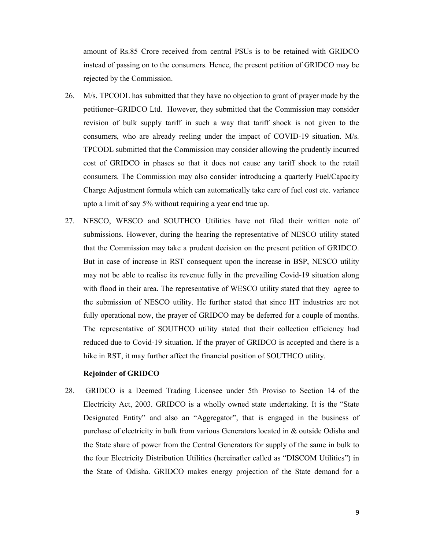amount of Rs.85 Crore received from central PSUs is to be retained with GRIDCO instead of passing on to the consumers. Hence, the present petition of GRIDCO may be rejected by the Commission.

- 26. M/s. TPCODL has submitted that they have no objection to grant of prayer made by the petitioner–GRIDCO Ltd. However, they submitted that the Commission may consider revision of bulk supply tariff in such a way that tariff shock is not given to the consumers, who are already reeling under the impact of COVID-19 situation. M/s. TPCODL submitted that the Commission may consider allowing the prudently incurred cost of GRIDCO in phases so that it does not cause any tariff shock to the retail consumers. The Commission may also consider introducing a quarterly Fuel/Capacity Charge Adjustment formula which can automatically take care of fuel cost etc. variance upto a limit of say 5% without requiring a year end true up.
- 27. NESCO, WESCO and SOUTHCO Utilities have not filed their written note of submissions. However, during the hearing the representative of NESCO utility stated that the Commission may take a prudent decision on the present petition of GRIDCO. But in case of increase in RST consequent upon the increase in BSP, NESCO utility may not be able to realise its revenue fully in the prevailing Covid-19 situation along with flood in their area. The representative of WESCO utility stated that they agree to the submission of NESCO utility. He further stated that since HT industries are not fully operational now, the prayer of GRIDCO may be deferred for a couple of months. The representative of SOUTHCO utility stated that their collection efficiency had reduced due to Covid-19 situation. If the prayer of GRIDCO is accepted and there is a hike in RST, it may further affect the financial position of SOUTHCO utility.

## Rejoinder of GRIDCO

28. GRIDCO is a Deemed Trading Licensee under 5th Proviso to Section 14 of the Electricity Act, 2003. GRIDCO is a wholly owned state undertaking. It is the "State Designated Entity" and also an "Aggregator", that is engaged in the business of purchase of electricity in bulk from various Generators located in & outside Odisha and the State share of power from the Central Generators for supply of the same in bulk to the four Electricity Distribution Utilities (hereinafter called as "DISCOM Utilities") in the State of Odisha. GRIDCO makes energy projection of the State demand for a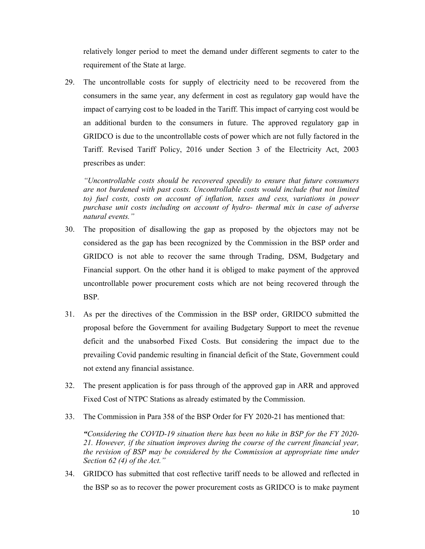relatively longer period to meet the demand under different segments to cater to the requirement of the State at large.

29. The uncontrollable costs for supply of electricity need to be recovered from the consumers in the same year, any deferment in cost as regulatory gap would have the impact of carrying cost to be loaded in the Tariff. This impact of carrying cost would be an additional burden to the consumers in future. The approved regulatory gap in GRIDCO is due to the uncontrollable costs of power which are not fully factored in the Tariff. Revised Tariff Policy, 2016 under Section 3 of the Electricity Act, 2003 prescribes as under:

"Uncontrollable costs should be recovered speedily to ensure that future consumers are not burdened with past costs. Uncontrollable costs would include (but not limited to) fuel costs, costs on account of inflation, taxes and cess, variations in power purchase unit costs including on account of hydro- thermal mix in case of adverse natural events."

- 30. The proposition of disallowing the gap as proposed by the objectors may not be considered as the gap has been recognized by the Commission in the BSP order and GRIDCO is not able to recover the same through Trading, DSM, Budgetary and Financial support. On the other hand it is obliged to make payment of the approved uncontrollable power procurement costs which are not being recovered through the BSP.
- 31. As per the directives of the Commission in the BSP order, GRIDCO submitted the proposal before the Government for availing Budgetary Support to meet the revenue deficit and the unabsorbed Fixed Costs. But considering the impact due to the prevailing Covid pandemic resulting in financial deficit of the State, Government could not extend any financial assistance.
- 32. The present application is for pass through of the approved gap in ARR and approved Fixed Cost of NTPC Stations as already estimated by the Commission.
- 33. The Commission in Para 358 of the BSP Order for FY 2020-21 has mentioned that:

"Considering the COVID-19 situation there has been no hike in BSP for the FY 2020- 21. However, if the situation improves during the course of the current financial year, the revision of BSP may be considered by the Commission at appropriate time under Section 62 (4) of the Act."

34. GRIDCO has submitted that cost reflective tariff needs to be allowed and reflected in the BSP so as to recover the power procurement costs as GRIDCO is to make payment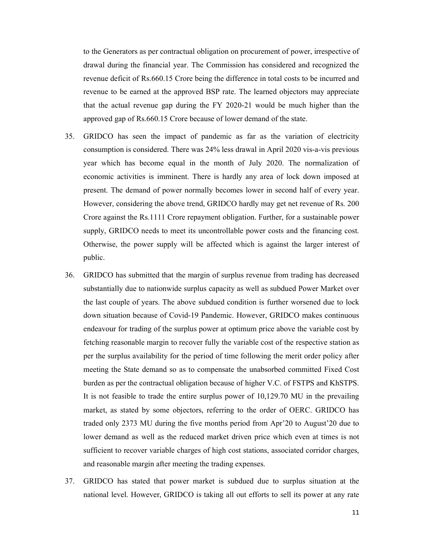to the Generators as per contractual obligation on procurement of power, irrespective of drawal during the financial year. The Commission has considered and recognized the revenue deficit of Rs.660.15 Crore being the difference in total costs to be incurred and revenue to be earned at the approved BSP rate. The learned objectors may appreciate that the actual revenue gap during the FY 2020-21 would be much higher than the approved gap of Rs.660.15 Crore because of lower demand of the state.

- 35. GRIDCO has seen the impact of pandemic as far as the variation of electricity consumption is considered. There was 24% less drawal in April 2020 vis-a-vis previous year which has become equal in the month of July 2020. The normalization of economic activities is imminent. There is hardly any area of lock down imposed at present. The demand of power normally becomes lower in second half of every year. However, considering the above trend, GRIDCO hardly may get net revenue of Rs. 200 Crore against the Rs.1111 Crore repayment obligation. Further, for a sustainable power supply, GRIDCO needs to meet its uncontrollable power costs and the financing cost. Otherwise, the power supply will be affected which is against the larger interest of public.
- 36. GRIDCO has submitted that the margin of surplus revenue from trading has decreased substantially due to nationwide surplus capacity as well as subdued Power Market over the last couple of years. The above subdued condition is further worsened due to lock down situation because of Covid-19 Pandemic. However, GRIDCO makes continuous endeavour for trading of the surplus power at optimum price above the variable cost by fetching reasonable margin to recover fully the variable cost of the respective station as per the surplus availability for the period of time following the merit order policy after meeting the State demand so as to compensate the unabsorbed committed Fixed Cost burden as per the contractual obligation because of higher V.C. of FSTPS and KhSTPS. It is not feasible to trade the entire surplus power of 10,129.70 MU in the prevailing market, as stated by some objectors, referring to the order of OERC. GRIDCO has traded only 2373 MU during the five months period from Apr'20 to August'20 due to lower demand as well as the reduced market driven price which even at times is not sufficient to recover variable charges of high cost stations, associated corridor charges, and reasonable margin after meeting the trading expenses.
- 37. GRIDCO has stated that power market is subdued due to surplus situation at the national level. However, GRIDCO is taking all out efforts to sell its power at any rate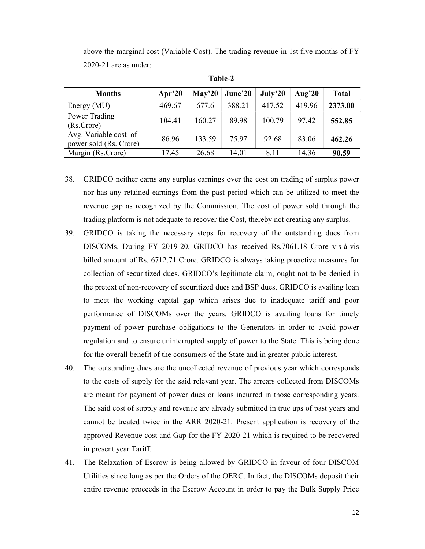above the marginal cost (Variable Cost). The trading revenue in 1st five months of FY 2020-21 are as under:

| <b>Months</b>                                   | Apr'20 | Mav <sup>20</sup> | June'20 | July <sup>20</sup> | Aug'20 | <b>Total</b> |
|-------------------------------------------------|--------|-------------------|---------|--------------------|--------|--------------|
| Energy (MU)                                     | 469.67 | 677.6             | 388.21  | 417.52             | 419.96 | 2373.00      |
| Power Trading<br>(Rs.Crore)                     | 104.41 | 160.27            | 89.98   | 100.79             | 97.42  | 552.85       |
| Avg. Variable cost of<br>power sold (Rs. Crore) | 86.96  | 133.59            | 75.97   | 92.68              | 83.06  | 462.26       |
| Margin (Rs.Crore)                               | 17.45  | 26.68             | 14.01   | 8.11               | 14.36  | 90.59        |

Table-2

- 38. GRIDCO neither earns any surplus earnings over the cost on trading of surplus power nor has any retained earnings from the past period which can be utilized to meet the revenue gap as recognized by the Commission. The cost of power sold through the trading platform is not adequate to recover the Cost, thereby not creating any surplus.
- 39. GRIDCO is taking the necessary steps for recovery of the outstanding dues from DISCOMs. During FY 2019-20, GRIDCO has received Rs.7061.18 Crore vis-à-vis billed amount of Rs. 6712.71 Crore. GRIDCO is always taking proactive measures for collection of securitized dues. GRIDCO's legitimate claim, ought not to be denied in the pretext of non-recovery of securitized dues and BSP dues. GRIDCO is availing loan to meet the working capital gap which arises due to inadequate tariff and poor performance of DISCOMs over the years. GRIDCO is availing loans for timely payment of power purchase obligations to the Generators in order to avoid power regulation and to ensure uninterrupted supply of power to the State. This is being done for the overall benefit of the consumers of the State and in greater public interest.
- 40. The outstanding dues are the uncollected revenue of previous year which corresponds to the costs of supply for the said relevant year. The arrears collected from DISCOMs are meant for payment of power dues or loans incurred in those corresponding years. The said cost of supply and revenue are already submitted in true ups of past years and cannot be treated twice in the ARR 2020-21. Present application is recovery of the approved Revenue cost and Gap for the FY 2020-21 which is required to be recovered in present year Tariff.
- 41. The Relaxation of Escrow is being allowed by GRIDCO in favour of four DISCOM Utilities since long as per the Orders of the OERC. In fact, the DISCOMs deposit their entire revenue proceeds in the Escrow Account in order to pay the Bulk Supply Price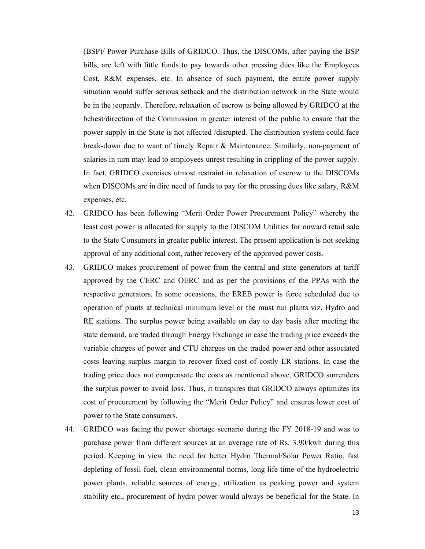(BSP)/ Power Purchase Bills of GRIDCO. Thus, the DISCOMs, after paying the BSP bills, are left with little funds to pay towards other pressing dues like the Employees Cost, R&M expenses, etc. In absence of such payment, the entire power supply situation would suffer serious setback and the distribution network in the State would be in the jeopardy. Therefore, relaxation of escrow is being allowed by GRIDCO at the behest/direction of the Commission in greater interest of the public to ensure that the power supply in the State is not affected /disrupted. The distribution system could face break-down due to want of timely Repair & Maintenance. Similarly, non-payment of salaries in turn may lead to employees unrest resulting in crippling of the power supply. In fact, GRIDCO exercises utmost restraint in relaxation of escrow to the DISCOMs when DISCOMs are in dire need of funds to pay for the pressing dues like salary, R&M expenses, etc.

- 42. GRIDCO has been following "Merit Order Power Procurement Policy" whereby the least cost power is allocated for supply to the DISCOM Utilities for onward retail sale to the State Consumers in greater public interest. The present application is not seeking approval of any additional cost, rather recovery of the approved power costs.
- 43. GRIDCO makes procurement of power from the central and state generators at tariff approved by the CERC and OERC and as per the provisions of the PPAs with the respective generators. In some occasions, the EREB power is force scheduled due to operation of plants at technical minimum level or the must run plants viz. Hydro and RE stations. The surplus power being available on day to day basis after meeting the state demand, are traded through Energy Exchange in case the trading price exceeds the variable charges of power and CTU charges on the traded power and other associated costs leaving surplus margin to recover fixed cost of costly ER stations. In case the trading price does not compensate the costs as mentioned above, GRIDCO surrenders the surplus power to avoid loss. Thus, it transpires that GRIDCO always optimizes its cost of procurement by following the "Merit Order Policy" and ensures lower cost of power to the State consumers.
- 44. GRIDCO was facing the power shortage scenario during the FY 2018-19 and was to purchase power from different sources at an average rate of Rs. 3.90/kwh during this period. Keeping in view the need for better Hydro Thermal/Solar Power Ratio, fast depleting of fossil fuel, clean environmental norms, long life time of the hydroelectric power plants, reliable sources of energy, utilization as peaking power and system stability etc., procurement of hydro power would always be beneficial for the State. In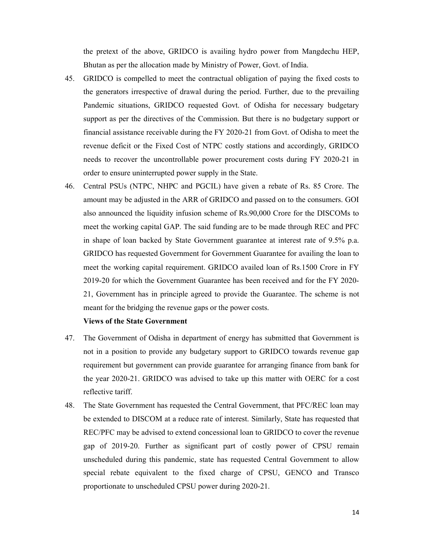the pretext of the above, GRIDCO is availing hydro power from Mangdechu HEP, Bhutan as per the allocation made by Ministry of Power, Govt. of India.

- 45. GRIDCO is compelled to meet the contractual obligation of paying the fixed costs to the generators irrespective of drawal during the period. Further, due to the prevailing Pandemic situations, GRIDCO requested Govt. of Odisha for necessary budgetary support as per the directives of the Commission. But there is no budgetary support or financial assistance receivable during the FY 2020-21 from Govt. of Odisha to meet the revenue deficit or the Fixed Cost of NTPC costly stations and accordingly, GRIDCO needs to recover the uncontrollable power procurement costs during FY 2020-21 in order to ensure uninterrupted power supply in the State.
- 46. Central PSUs (NTPC, NHPC and PGCIL) have given a rebate of Rs. 85 Crore. The amount may be adjusted in the ARR of GRIDCO and passed on to the consumers. GOI also announced the liquidity infusion scheme of Rs.90,000 Crore for the DISCOMs to meet the working capital GAP. The said funding are to be made through REC and PFC in shape of loan backed by State Government guarantee at interest rate of 9.5% p.a. GRIDCO has requested Government for Government Guarantee for availing the loan to meet the working capital requirement. GRIDCO availed loan of Rs.1500 Crore in FY 2019-20 for which the Government Guarantee has been received and for the FY 2020- 21, Government has in principle agreed to provide the Guarantee. The scheme is not meant for the bridging the revenue gaps or the power costs.

# Views of the State Government

- 47. The Government of Odisha in department of energy has submitted that Government is not in a position to provide any budgetary support to GRIDCO towards revenue gap requirement but government can provide guarantee for arranging finance from bank for the year 2020-21. GRIDCO was advised to take up this matter with OERC for a cost reflective tariff.
- 48. The State Government has requested the Central Government, that PFC/REC loan may be extended to DISCOM at a reduce rate of interest. Similarly, State has requested that REC/PFC may be advised to extend concessional loan to GRIDCO to cover the revenue gap of 2019-20. Further as significant part of costly power of CPSU remain unscheduled during this pandemic, state has requested Central Government to allow special rebate equivalent to the fixed charge of CPSU, GENCO and Transco proportionate to unscheduled CPSU power during 2020-21.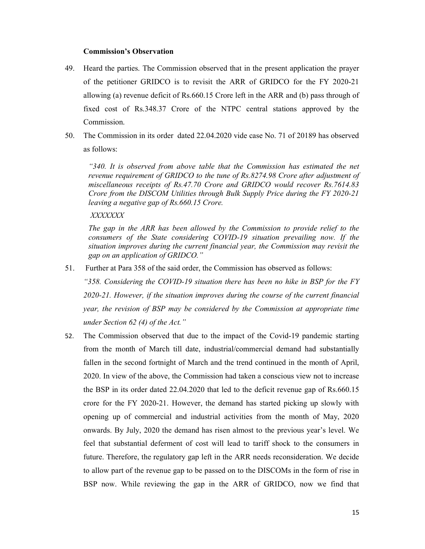## Commission's Observation

- 49. Heard the parties. The Commission observed that in the present application the prayer of the petitioner GRIDCO is to revisit the ARR of GRIDCO for the FY 2020-21 allowing (a) revenue deficit of Rs.660.15 Crore left in the ARR and (b) pass through of fixed cost of Rs.348.37 Crore of the NTPC central stations approved by the Commission.
- 50. The Commission in its order dated 22.04.2020 vide case No. 71 of 20189 has observed as follows:

"340. It is observed from above table that the Commission has estimated the net revenue requirement of GRIDCO to the tune of Rs.8274.98 Crore after adjustment of miscellaneous receipts of Rs.47.70 Crore and GRIDCO would recover Rs.7614.83 Crore from the DISCOM Utilities through Bulk Supply Price during the FY 2020-21 leaving a negative gap of Rs.660.15 Crore.

## XXXXXXX

The gap in the ARR has been allowed by the Commission to provide relief to the consumers of the State considering COVID-19 situation prevailing now. If the situation improves during the current financial year, the Commission may revisit the gap on an application of GRIDCO."

51. Further at Para 358 of the said order, the Commission has observed as follows:

"358. Considering the COVID-19 situation there has been no hike in BSP for the FY 2020-21. However, if the situation improves during the course of the current financial year, the revision of BSP may be considered by the Commission at appropriate time under Section 62 (4) of the Act."

52. The Commission observed that due to the impact of the Covid-19 pandemic starting from the month of March till date, industrial/commercial demand had substantially fallen in the second fortnight of March and the trend continued in the month of April, 2020. In view of the above, the Commission had taken a conscious view not to increase the BSP in its order dated 22.04.2020 that led to the deficit revenue gap of Rs.660.15 crore for the FY 2020-21. However, the demand has started picking up slowly with opening up of commercial and industrial activities from the month of May, 2020 onwards. By July, 2020 the demand has risen almost to the previous year's level. We feel that substantial deferment of cost will lead to tariff shock to the consumers in future. Therefore, the regulatory gap left in the ARR needs reconsideration. We decide to allow part of the revenue gap to be passed on to the DISCOMs in the form of rise in BSP now. While reviewing the gap in the ARR of GRIDCO, now we find that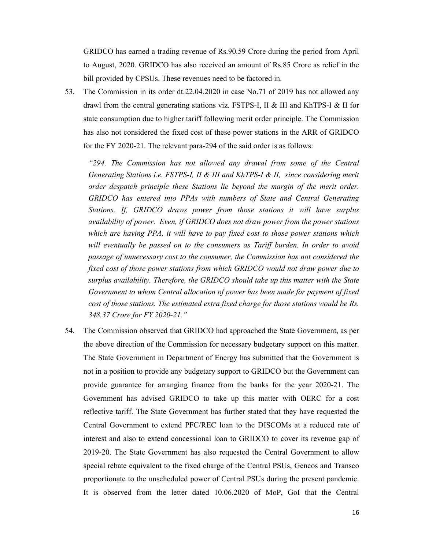GRIDCO has earned a trading revenue of Rs.90.59 Crore during the period from April to August, 2020. GRIDCO has also received an amount of Rs.85 Crore as relief in the bill provided by CPSUs. These revenues need to be factored in.

53. The Commission in its order dt.22.04.2020 in case No.71 of 2019 has not allowed any drawl from the central generating stations viz. FSTPS-I, II & III and KhTPS-I & II for state consumption due to higher tariff following merit order principle. The Commission has also not considered the fixed cost of these power stations in the ARR of GRIDCO for the FY 2020-21. The relevant para-294 of the said order is as follows:

"294. The Commission has not allowed any drawal from some of the Central Generating Stations i.e. FSTPS-I, II & III and KhTPS-I & II, since considering merit order despatch principle these Stations lie beyond the margin of the merit order. GRIDCO has entered into PPAs with numbers of State and Central Generating Stations. If, GRIDCO draws power from those stations it will have surplus availability of power. Even, if GRIDCO does not draw power from the power stations which are having PPA, it will have to pay fixed cost to those power stations which will eventually be passed on to the consumers as Tariff burden. In order to avoid passage of unnecessary cost to the consumer, the Commission has not considered the fixed cost of those power stations from which GRIDCO would not draw power due to surplus availability. Therefore, the GRIDCO should take up this matter with the State Government to whom Central allocation of power has been made for payment of fixed cost of those stations. The estimated extra fixed charge for those stations would be Rs. 348.37 Crore for FY 2020-21."

54. The Commission observed that GRIDCO had approached the State Government, as per the above direction of the Commission for necessary budgetary support on this matter. The State Government in Department of Energy has submitted that the Government is not in a position to provide any budgetary support to GRIDCO but the Government can provide guarantee for arranging finance from the banks for the year 2020-21. The Government has advised GRIDCO to take up this matter with OERC for a cost reflective tariff. The State Government has further stated that they have requested the Central Government to extend PFC/REC loan to the DISCOMs at a reduced rate of interest and also to extend concessional loan to GRIDCO to cover its revenue gap of 2019-20. The State Government has also requested the Central Government to allow special rebate equivalent to the fixed charge of the Central PSUs, Gencos and Transco proportionate to the unscheduled power of Central PSUs during the present pandemic. It is observed from the letter dated 10.06.2020 of MoP, GoI that the Central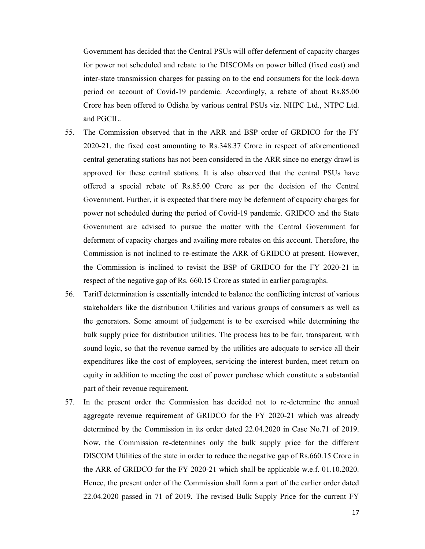Government has decided that the Central PSUs will offer deferment of capacity charges for power not scheduled and rebate to the DISCOMs on power billed (fixed cost) and inter-state transmission charges for passing on to the end consumers for the lock-down period on account of Covid-19 pandemic. Accordingly, a rebate of about Rs.85.00 Crore has been offered to Odisha by various central PSUs viz. NHPC Ltd., NTPC Ltd. and PGCIL.

- 55. The Commission observed that in the ARR and BSP order of GRDICO for the FY 2020-21, the fixed cost amounting to Rs.348.37 Crore in respect of aforementioned central generating stations has not been considered in the ARR since no energy drawl is approved for these central stations. It is also observed that the central PSUs have offered a special rebate of Rs.85.00 Crore as per the decision of the Central Government. Further, it is expected that there may be deferment of capacity charges for power not scheduled during the period of Covid-19 pandemic. GRIDCO and the State Government are advised to pursue the matter with the Central Government for deferment of capacity charges and availing more rebates on this account. Therefore, the Commission is not inclined to re-estimate the ARR of GRIDCO at present. However, the Commission is inclined to revisit the BSP of GRIDCO for the FY 2020-21 in respect of the negative gap of Rs. 660.15 Crore as stated in earlier paragraphs.
- 56. Tariff determination is essentially intended to balance the conflicting interest of various stakeholders like the distribution Utilities and various groups of consumers as well as the generators. Some amount of judgement is to be exercised while determining the bulk supply price for distribution utilities. The process has to be fair, transparent, with sound logic, so that the revenue earned by the utilities are adequate to service all their expenditures like the cost of employees, servicing the interest burden, meet return on equity in addition to meeting the cost of power purchase which constitute a substantial part of their revenue requirement.
- 57. In the present order the Commission has decided not to re-determine the annual aggregate revenue requirement of GRIDCO for the FY 2020-21 which was already determined by the Commission in its order dated 22.04.2020 in Case No.71 of 2019. Now, the Commission re-determines only the bulk supply price for the different DISCOM Utilities of the state in order to reduce the negative gap of Rs.660.15 Crore in the ARR of GRIDCO for the FY 2020-21 which shall be applicable w.e.f. 01.10.2020. Hence, the present order of the Commission shall form a part of the earlier order dated 22.04.2020 passed in 71 of 2019. The revised Bulk Supply Price for the current FY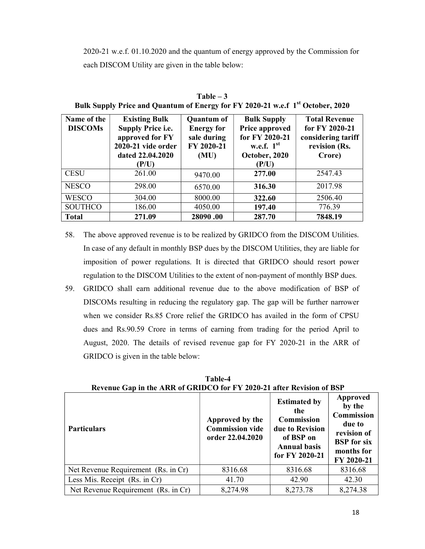2020-21 w.e.f. 01.10.2020 and the quantum of energy approved by the Commission for each DISCOM Utility are given in the table below:

| Name of the<br><b>DISCOMs</b> | <b>Existing Bulk</b><br><b>Supply Price i.e.</b><br>approved for FY<br>2020-21 vide order<br>dated 22.04.2020<br>(P/U) | <b>Quantum of</b><br><b>Energy for</b><br>sale during<br>FY 2020-21<br>(MU) | <b>Bulk Supply</b><br><b>Price approved</b><br>for FY 2020-21<br>w.e.f. $1st$<br>October, 2020<br>(P/U) | <b>Total Revenue</b><br>for FY 2020-21<br>considering tariff<br>revision (Rs.<br>Crore) |
|-------------------------------|------------------------------------------------------------------------------------------------------------------------|-----------------------------------------------------------------------------|---------------------------------------------------------------------------------------------------------|-----------------------------------------------------------------------------------------|
| <b>CESU</b>                   | 261.00                                                                                                                 | 9470.00                                                                     | 277.00                                                                                                  | 2547.43                                                                                 |
| <b>NESCO</b>                  | 298.00                                                                                                                 | 6570.00                                                                     | 316.30                                                                                                  | 2017.98                                                                                 |
| <b>WESCO</b>                  | 304.00                                                                                                                 | 8000.00                                                                     | 322.60                                                                                                  | 2506.40                                                                                 |
| <b>SOUTHCO</b>                | 186.00                                                                                                                 | 4050.00                                                                     | 197.40                                                                                                  | 776.39                                                                                  |
| <b>Total</b>                  | 271.09                                                                                                                 | 28090.00                                                                    | 287.70                                                                                                  | 7848.19                                                                                 |

Table – 3 Bulk Supply Price and Quantum of Energy for FY 2020-21 w.e.f 1st October, 2020

- 58. The above approved revenue is to be realized by GRIDCO from the DISCOM Utilities. In case of any default in monthly BSP dues by the DISCOM Utilities, they are liable for imposition of power regulations. It is directed that GRIDCO should resort power regulation to the DISCOM Utilities to the extent of non-payment of monthly BSP dues.
- 59. GRIDCO shall earn additional revenue due to the above modification of BSP of DISCOMs resulting in reducing the regulatory gap. The gap will be further narrower when we consider Rs.85 Crore relief the GRIDCO has availed in the form of CPSU dues and Rs.90.59 Crore in terms of earning from trading for the period April to August, 2020. The details of revised revenue gap for FY 2020-21 in the ARR of GRIDCO is given in the table below:

| <b>Particulars</b>                  | Approved by the<br><b>Commission vide</b><br>order 22.04.2020 | <b>Estimated by</b><br>the<br><b>Commission</b><br>due to Revision<br>of BSP on<br><b>Annual basis</b><br>for FY 2020-21 | <b>Approved</b><br>by the<br>Commission<br>due to<br>revision of<br><b>BSP</b> for six<br>months for<br>FY 2020-21 |
|-------------------------------------|---------------------------------------------------------------|--------------------------------------------------------------------------------------------------------------------------|--------------------------------------------------------------------------------------------------------------------|
| Net Revenue Requirement (Rs. in Cr) | 8316.68                                                       | 8316.68                                                                                                                  | 8316.68                                                                                                            |
| Less Mis. Receipt (Rs. in Cr)       | 41.70                                                         | 42.90                                                                                                                    | 42.30                                                                                                              |
| Net Revenue Requirement (Rs. in Cr) | 8,274.98                                                      | 8,273.78                                                                                                                 | 8,274.38                                                                                                           |

Table-4 Revenue Gap in the ARR of GRIDCO for FY 2020-21 after Revision of BSP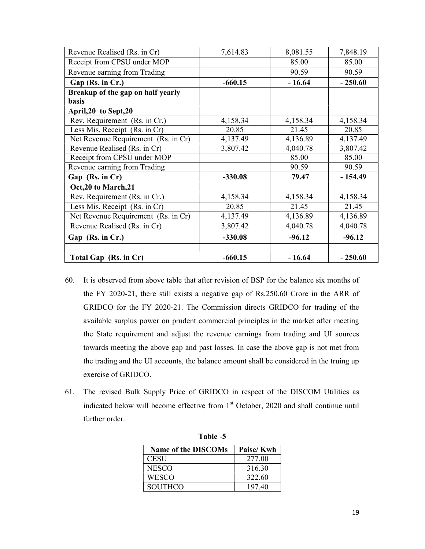| Revenue Realised (Rs. in Cr)                      | 7,614.83  | 8,081.55 | 7,848.19  |
|---------------------------------------------------|-----------|----------|-----------|
| Receipt from CPSU under MOP                       |           | 85.00    | 85.00     |
| Revenue earning from Trading                      |           | 90.59    | 90.59     |
| Gap (Rs. in Cr.)                                  | $-660.15$ | $-16.64$ | $-250.60$ |
| Breakup of the gap on half yearly                 |           |          |           |
| <b>basis</b>                                      |           |          |           |
| April, 20 to Sept, 20                             |           |          |           |
| Rev. Requirement (Rs. in Cr.)                     | 4,158.34  | 4,158.34 | 4,158.34  |
| $\overline{\text{Less}}$ Mis. Receipt (Rs. in Cr) | 20.85     | 21.45    | 20.85     |
| Net Revenue Requirement (Rs. in Cr)               | 4,137.49  | 4,136.89 | 4,137.49  |
| Revenue Realised (Rs. in Cr)                      | 3,807.42  | 4,040.78 | 3,807.42  |
| Receipt from CPSU under MOP                       |           | 85.00    | 85.00     |
| Revenue earning from Trading                      |           | 90.59    | 90.59     |
| Gap (Rs. in Cr)                                   | $-330.08$ | 79.47    | $-154.49$ |
| Oct, 20 to March, 21                              |           |          |           |
| Rev. Requirement (Rs. in Cr.)                     | 4,158.34  | 4,158.34 | 4,158.34  |
| Less Mis. Receipt (Rs. in Cr)                     | 20.85     | 21.45    | 21.45     |
| Net Revenue Requirement (Rs. in Cr)               | 4,137.49  | 4,136.89 | 4,136.89  |
| Revenue Realised (Rs. in Cr)                      | 3,807.42  | 4,040.78 | 4,040.78  |
| Gap (Rs. in Cr.)                                  | $-330.08$ | $-96.12$ | $-96.12$  |
| Total Gap (Rs. in Cr)                             | $-660.15$ | $-16.64$ | $-250.60$ |

- 60. It is observed from above table that after revision of BSP for the balance six months of the FY 2020-21, there still exists a negative gap of Rs.250.60 Crore in the ARR of GRIDCO for the FY 2020-21. The Commission directs GRIDCO for trading of the available surplus power on prudent commercial principles in the market after meeting the State requirement and adjust the revenue earnings from trading and UI sources towards meeting the above gap and past losses. In case the above gap is not met from the trading and the UI accounts, the balance amount shall be considered in the truing up exercise of GRIDCO.
- 61. The revised Bulk Supply Price of GRIDCO in respect of the DISCOM Utilities as indicated below will become effective from 1<sup>st</sup> October, 2020 and shall continue until further order.

| <b>Name of the DISCOMs</b> | Paise/Kwh |
|----------------------------|-----------|
| CESU                       | 277.00    |
| <b>NESCO</b>               | 316.30    |
| <b>WESCO</b>               | 322.60    |
| <b>SOUTHCO</b>             | 197.40    |

Table -5